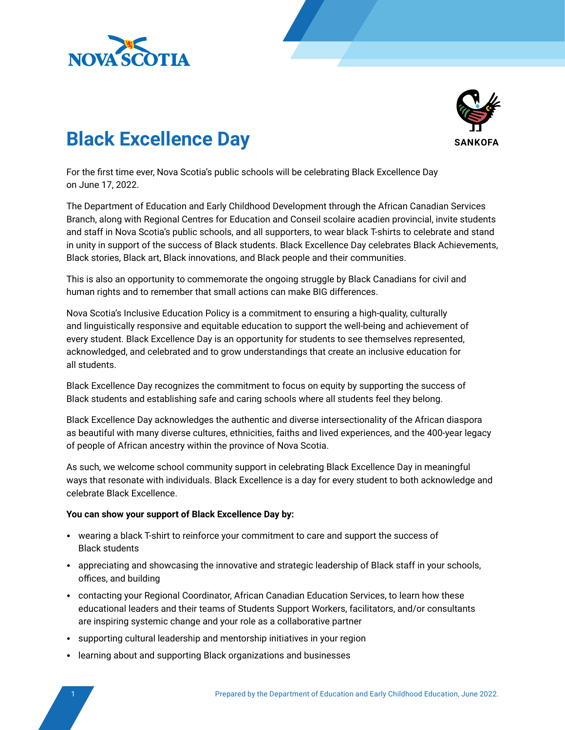



# **Black Excellence Day**

For the first time ever, Nova Scotia's public schools will be celebrating Black Excellence Day on June 17, 2022.

The Department of Education and Early Childhood Development through the African Canadian Services Branch, along with Regional Centres for Education and Conseil scolaire acadien provincial, invite students and staff in Nova Scotia's public schools, and all supporters, to wear black T-shirts to celebrate and stand in unity in support of the success of Black students. Black Excellence Day celebrates Black Achievements, Black stories, Black art, Black innovations, and Black people and their communities.

This is also an opportunity to commemorate the ongoing struggle by Black Canadians for civil and human rights and to remember that small actions can make BIG differences.

Nova Scotia's Inclusive Education Policy is a commitment to ensuring a high-quality, culturally and linguistically responsive and equitable education to support the well-being and achievement of every student. Black Excellence Day is an opportunity for students to see themselves represented, acknowledged, and celebrated and to grow understandings that create an inclusive education for all students.

Black Excellence Day recognizes the commitment to focus on equity by supporting the success of Black students and establishing safe and caring schools where all students feel they belong.

Black Excellence Day acknowledges the authentic and diverse intersectionality of the African diaspora as beautiful with many diverse cultures, ethnicities, faiths and lived experiences, and the 400-year legacy of people of African ancestry within the province of Nova Scotia.

As such, we welcome school community support in celebrating Black Excellence Day in meaningful ways that resonate with individuals. Black Excellence is a day for every student to both acknowledge and celebrate Black Excellence.

#### **You can show your support of Black Excellence Day by:**

- wearing a black T-shirt to reinforce your commitment to care and support the success of Black students
- appreciating and showcasing the innovative and strategic leadership of Black staff in your schools, offices, and building
- contacting your Regional Coordinator, African Canadian Education Services, to learn how these educational leaders and their teams of Students Support Workers, facilitators, and/or consultants are inspiring systemic change and your role as a collaborative partner
- supporting cultural leadership and mentorship initiatives in your region
- learning about and supporting Black organizations and businesses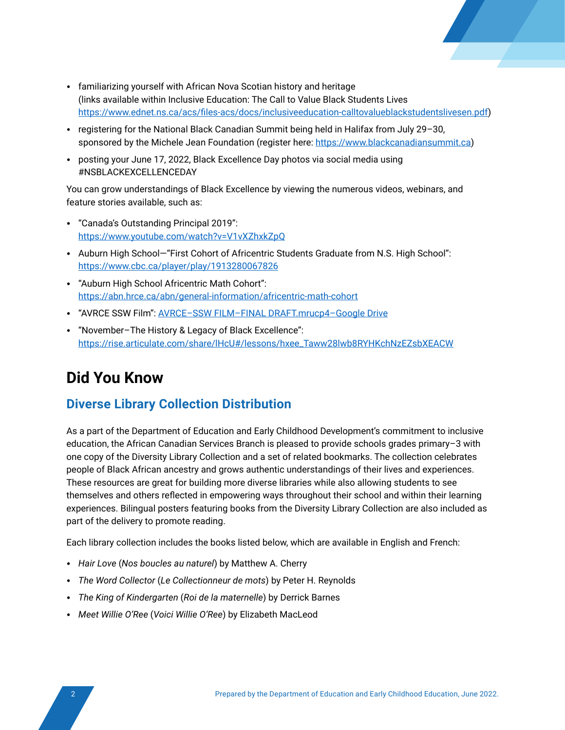

- familiarizing yourself with African Nova Scotian history and heritage (links available within Inclusive Education: The Call to Value Black Students Lives <https://www.ednet.ns.ca/acs/files-acs/docs/inclusiveeducation-calltovalueblackstudentslivesen.pdf>)
- registering for the National Black Canadian Summit being held in Halifax from July 29–30, sponsored by the Michele Jean Foundation (register here:<https://www.blackcanadiansummit.ca>)
- posting your June 17, 2022, Black Excellence Day photos via social media using #NSBLACKEXCELLENCEDAY

You can grow understandings of Black Excellence by viewing the numerous videos, webinars, and feature stories available, such as:

- "Canada's Outstanding Principal 2019": <https://www.youtube.com/watch?v=V1vXZhxkZpQ>
- Auburn High School—"First Cohort of Africentric Students Graduate from N.S. High School": <https://www.cbc.ca/player/play/1913280067826>
- "Auburn High School Africentric Math Cohort": <https://abn.hrce.ca/abn/general-information/africentric-math-cohort>
- "AVRCE SSW Film": [AVRCE–SSW FILM–FINAL DRAFT.mrucp4–Google Drive](https://can01.safelinks.protection.outlook.com/?url=https%3A%2F%2Fdrive.google.com%2Ffile%2Fd%2F131OOCuUBxlstGOTjUp8Jg5UBv--3g1S1%2Fview&data=05%7C01%7CLori.Colbourne%40novascotia.ca%7Caefce40deb22463c140508da48bf548c%7C8eb23313ce754345a56a297a2412b4db%7C0%7C0%7C637902283828686061%7CUnknown%7CTWFpbGZsb3d8eyJWIjoiMC4wLjAwMDAiLCJQIjoiV2luMzIiLCJBTiI6Ik1haWwiLCJXVCI6Mn0%3D%7C3000%7C%7C%7C&sdata=lcnt8uFKd%2BS6zpFADVTL7zCij0KfHQpipS35yhoaGII%3D&reserved=0)
- "November–The History & Legacy of Black Excellence": [https://rise.articulate.com/share/lHcU#/lessons/hxee\\_Taww28lwb8RYHKchNzEZsbXEACW](https://can01.safelinks.protection.outlook.com/?url=https%3A%2F%2Frise.articulate.com%2Fshare%2FlHcU%23%2Flessons%2Fhxee_Taww28lwb8RYHKchNzEZsbXEACW&data=05%7C01%7CLori.Colbourne%40novascotia.ca%7Caefce40deb22463c140508da48bf548c%7C8eb23313ce754345a56a297a2412b4db%7C0%7C0%7C637902283828686061%7CUnknown%7CTWFpbGZsb3d8eyJWIjoiMC4wLjAwMDAiLCJQIjoiV2luMzIiLCJBTiI6Ik1haWwiLCJXVCI6Mn0%3D%7C3000%7C%7C%7C&sdata=WL%2F2j%2FwBj6xqOU5ZUWKQ8p%2BsugkBP7Gbi9ESinU%2BlcU%3D&reserved=0)

# **Did You Know**

# **Diverse Library Collection Distribution**

As a part of the Department of Education and Early Childhood Development's commitment to inclusive education, the African Canadian Services Branch is pleased to provide schools grades primary–3 with one copy of the Diversity Library Collection and a set of related bookmarks. The collection celebrates people of Black African ancestry and grows authentic understandings of their lives and experiences. These resources are great for building more diverse libraries while also allowing students to see themselves and others reflected in empowering ways throughout their school and within their learning experiences. Bilingual posters featuring books from the Diversity Library Collection are also included as part of the delivery to promote reading.

Each library collection includes the books listed below, which are available in English and French:

- *Hair Love* (*Nos boucles au naturel*) by Matthew A. Cherry
- *The Word Collector* (*Le Collectionneur de mots*) by Peter H. Reynolds
- *The King of Kindergarten* (*Roi de la maternelle*) by Derrick Barnes
- *Meet Willie O'Ree* (*Voici Willie O'Ree*) by Elizabeth MacLeod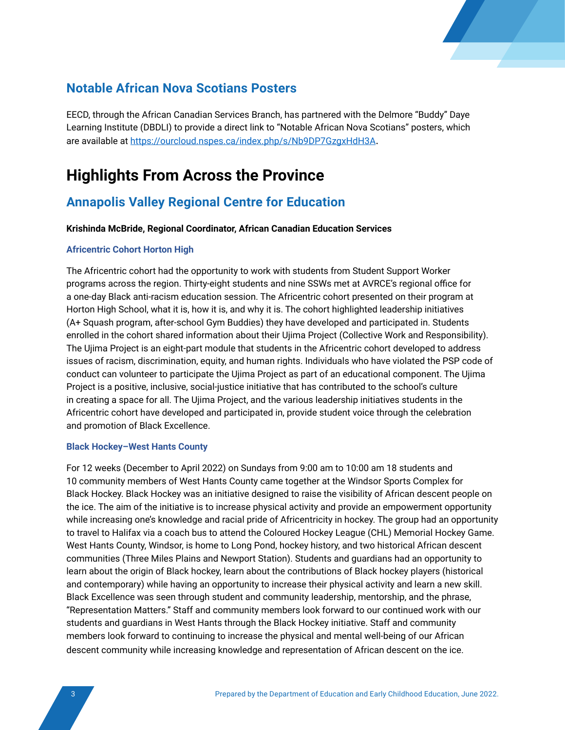

# **Notable African Nova Scotians Posters**

EECD, through the African Canadian Services Branch, has partnered with the Delmore "Buddy" Daye Learning Institute (DBDLI) to provide a direct link to "Notable African Nova Scotians" posters, which are available at<https://ourcloud.nspes.ca/index.php/s/Nb9DP7GzgxHdH3A>.

# **Highlights From Across the Province**

# **Annapolis Valley Regional Centre for Education**

#### **Krishinda McBride, Regional Coordinator, African Canadian Education Services**

#### **Africentric Cohort Horton High**

The Africentric cohort had the opportunity to work with students from Student Support Worker programs across the region. Thirty-eight students and nine SSWs met at AVRCE's regional office for a one-day Black anti-racism education session. The Africentric cohort presented on their program at Horton High School, what it is, how it is, and why it is. The cohort highlighted leadership initiatives (A+ Squash program, after-school Gym Buddies) they have developed and participated in. Students enrolled in the cohort shared information about their Ujima Project (Collective Work and Responsibility). The Ujima Project is an eight-part module that students in the Africentric cohort developed to address issues of racism, discrimination, equity, and human rights. Individuals who have violated the PSP code of conduct can volunteer to participate the Ujima Project as part of an educational component. The Ujima Project is a positive, inclusive, social-justice initiative that has contributed to the school's culture in creating a space for all. The Ujima Project, and the various leadership initiatives students in the Africentric cohort have developed and participated in, provide student voice through the celebration and promotion of Black Excellence.

#### **Black Hockey–West Hants County**

For 12 weeks (December to April 2022) on Sundays from 9:00 am to 10:00 am 18 students and 10 community members of West Hants County came together at the Windsor Sports Complex for Black Hockey. Black Hockey was an initiative designed to raise the visibility of African descent people on the ice. The aim of the initiative is to increase physical activity and provide an empowerment opportunity while increasing one's knowledge and racial pride of Africentricity in hockey. The group had an opportunity to travel to Halifax via a coach bus to attend the Coloured Hockey League (CHL) Memorial Hockey Game. West Hants County, Windsor, is home to Long Pond, hockey history, and two historical African descent communities (Three Miles Plains and Newport Station). Students and guardians had an opportunity to learn about the origin of Black hockey, learn about the contributions of Black hockey players (historical and contemporary) while having an opportunity to increase their physical activity and learn a new skill. Black Excellence was seen through student and community leadership, mentorship, and the phrase, "Representation Matters." Staff and community members look forward to our continued work with our students and guardians in West Hants through the Black Hockey initiative. Staff and community members look forward to continuing to increase the physical and mental well-being of our African descent community while increasing knowledge and representation of African descent on the ice.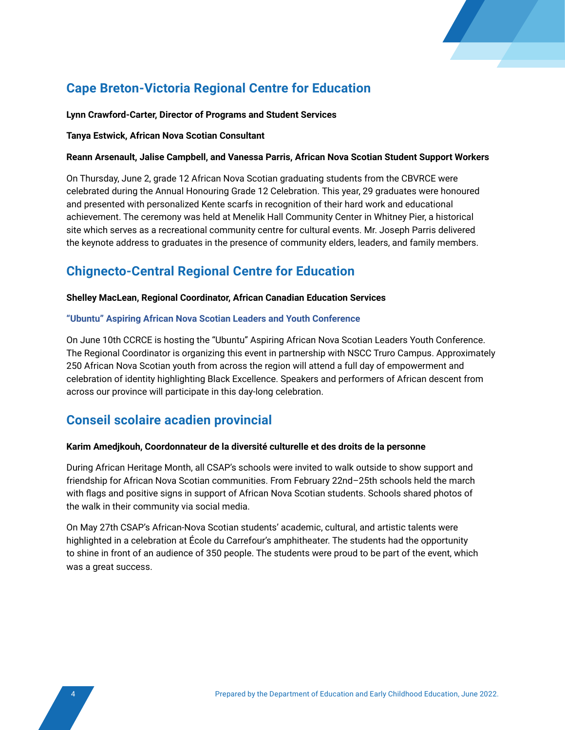

# **Cape Breton-Victoria Regional Centre for Education**

#### **Lynn Crawford-Carter, Director of Programs and Student Services**

#### **Tanya Estwick, African Nova Scotian Consultant**

#### **Reann Arsenault, Jalise Campbell, and Vanessa Parris, African Nova Scotian Student Support Workers**

On Thursday, June 2, grade 12 African Nova Scotian graduating students from the CBVRCE were celebrated during the Annual Honouring Grade 12 Celebration. This year, 29 graduates were honoured and presented with personalized Kente scarfs in recognition of their hard work and educational achievement. The ceremony was held at Menelik Hall Community Center in Whitney Pier, a historical site which serves as a recreational community centre for cultural events. Mr. Joseph Parris delivered the keynote address to graduates in the presence of community elders, leaders, and family members.

# **Chignecto-Central Regional Centre for Education**

#### **Shelley MacLean, Regional Coordinator, African Canadian Education Services**

#### **"Ubuntu" Aspiring African Nova Scotian Leaders and Youth Conference**

On June 10th CCRCE is hosting the "Ubuntu" Aspiring African Nova Scotian Leaders Youth Conference. The Regional Coordinator is organizing this event in partnership with NSCC Truro Campus. Approximately 250 African Nova Scotian youth from across the region will attend a full day of empowerment and celebration of identity highlighting Black Excellence. Speakers and performers of African descent from across our province will participate in this day-long celebration.

## **Conseil scolaire acadien provincial**

#### **Karim Amedjkouh, Coordonnateur de la diversité culturelle et des droits de la personne**

During African Heritage Month, all CSAP's schools were invited to walk outside to show support and friendship for African Nova Scotian communities. From February 22nd–25th schools held the march with flags and positive signs in support of African Nova Scotian students. Schools shared photos of the walk in their community via social media.

On May 27th CSAP's African-Nova Scotian students' academic, cultural, and artistic talents were highlighted in a celebration at École du Carrefour's amphitheater. The students had the opportunity to shine in front of an audience of 350 people. The students were proud to be part of the event, which was a great success.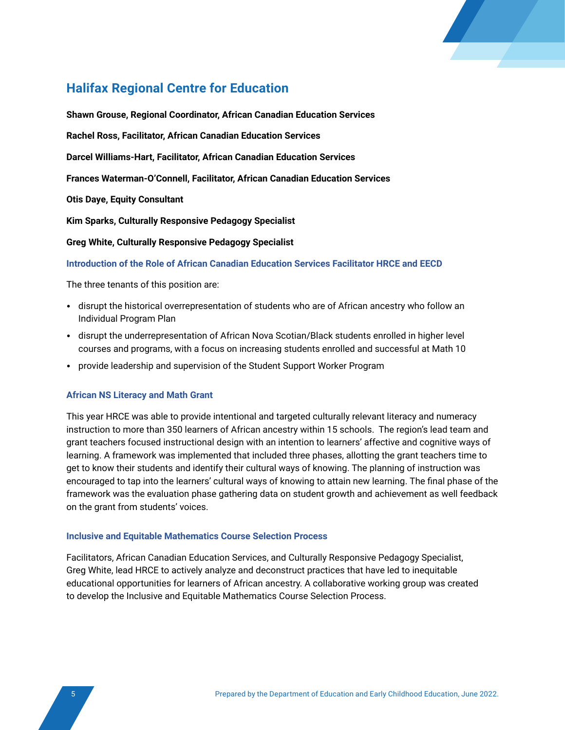

# **Halifax Regional Centre for Education**

**Shawn Grouse, Regional Coordinator, African Canadian Education Services Rachel Ross, Facilitator, African Canadian Education Services Darcel Williams-Hart, Facilitator, African Canadian Education Services Frances Waterman-O'Connell, Facilitator, African Canadian Education Services Otis Daye, Equity Consultant Kim Sparks, Culturally Responsive Pedagogy Specialist Greg White, Culturally Responsive Pedagogy Specialist**

**Introduction of the Role of African Canadian Education Services Facilitator HRCE and EECD**

The three tenants of this position are:

- disrupt the historical overrepresentation of students who are of African ancestry who follow an Individual Program Plan
- disrupt the underrepresentation of African Nova Scotian/Black students enrolled in higher level courses and programs, with a focus on increasing students enrolled and successful at Math 10
- provide leadership and supervision of the Student Support Worker Program

#### **African NS Literacy and Math Grant**

This year HRCE was able to provide intentional and targeted culturally relevant literacy and numeracy instruction to more than 350 learners of African ancestry within 15 schools. The region's lead team and grant teachers focused instructional design with an intention to learners' affective and cognitive ways of learning. A framework was implemented that included three phases, allotting the grant teachers time to get to know their students and identify their cultural ways of knowing. The planning of instruction was encouraged to tap into the learners' cultural ways of knowing to attain new learning. The final phase of the framework was the evaluation phase gathering data on student growth and achievement as well feedback on the grant from students' voices.

#### **Inclusive and Equitable Mathematics Course Selection Process**

Facilitators, African Canadian Education Services, and Culturally Responsive Pedagogy Specialist, Greg White, lead HRCE to actively analyze and deconstruct practices that have led to inequitable educational opportunities for learners of African ancestry. A collaborative working group was created to develop the Inclusive and Equitable Mathematics Course Selection Process.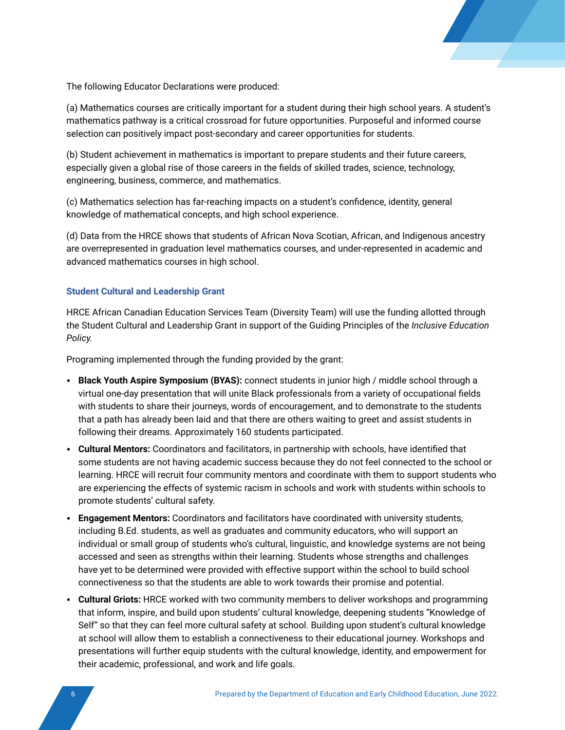

The following Educator Declarations were produced:

(a) Mathematics courses are critically important for a student during their high school years. A student's mathematics pathway is a critical crossroad for future opportunities. Purposeful and informed course selection can positively impact post-secondary and career opportunities for students.

(b) Student achievement in mathematics is important to prepare students and their future careers, especially given a global rise of those careers in the fields of skilled trades, science, technology, engineering, business, commerce, and mathematics.

(c) Mathematics selection has far-reaching impacts on a student's confidence, identity, general knowledge of mathematical concepts, and high school experience.

(d) Data from the HRCE shows that students of African Nova Scotian, African, and Indigenous ancestry are overrepresented in graduation level mathematics courses, and under-represented in academic and advanced mathematics courses in high school.

#### **Student Cultural and Leadership Grant**

HRCE African Canadian Education Services Team (Diversity Team) will use the funding allotted through the Student Cultural and Leadership Grant in support of the Guiding Principles of the *Inclusive Education Policy.*

Programing implemented through the funding provided by the grant:

- **Black Youth Aspire Symposium (BYAS):** connect students in junior high / middle school through a virtual one-day presentation that will unite Black professionals from a variety of occupational fields with students to share their journeys, words of encouragement, and to demonstrate to the students that a path has already been laid and that there are others waiting to greet and assist students in following their dreams. Approximately 160 students participated.
- **Cultural Mentors:** Coordinators and facilitators, in partnership with schools, have identified that some students are not having academic success because they do not feel connected to the school or learning. HRCE will recruit four community mentors and coordinate with them to support students who are experiencing the effects of systemic racism in schools and work with students within schools to promote students' cultural safety.
- **Engagement Mentors:** Coordinators and facilitators have coordinated with university students, including B.Ed. students, as well as graduates and community educators, who will support an individual or small group of students who's cultural, linguistic, and knowledge systems are not being accessed and seen as strengths within their learning. Students whose strengths and challenges have yet to be determined were provided with effective support within the school to build school connectiveness so that the students are able to work towards their promise and potential.
- **Cultural Griots:** HRCE worked with two community members to deliver workshops and programming that inform, inspire, and build upon students' cultural knowledge, deepening students "Knowledge of Self" so that they can feel more cultural safety at school. Building upon student's cultural knowledge at school will allow them to establish a connectiveness to their educational journey. Workshops and presentations will further equip students with the cultural knowledge, identity, and empowerment for their academic, professional, and work and life goals.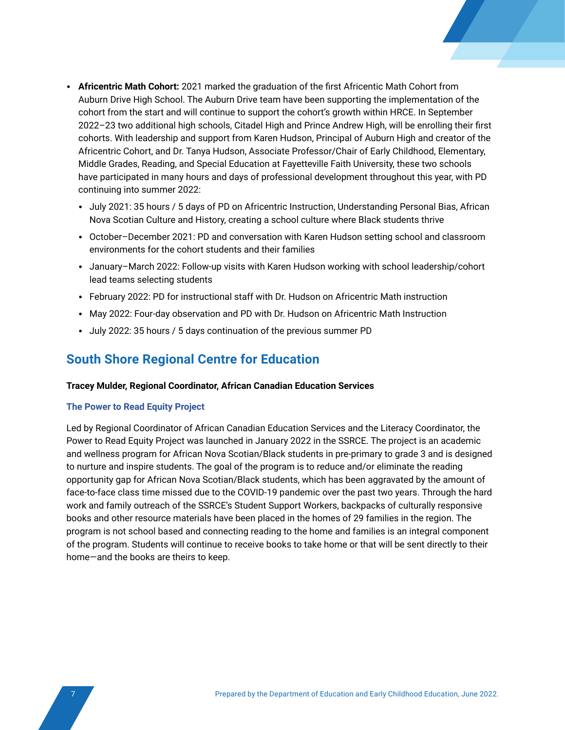- **Africentric Math Cohort:** 2021 marked the graduation of the first Africentic Math Cohort from Auburn Drive High School. The Auburn Drive team have been supporting the implementation of the cohort from the start and will continue to support the cohort's growth within HRCE. In September 2022–23 two additional high schools, Citadel High and Prince Andrew High, will be enrolling their first cohorts. With leadership and support from Karen Hudson, Principal of Auburn High and creator of the Africentric Cohort, and Dr. Tanya Hudson, Associate Professor/Chair of Early Childhood, Elementary, Middle Grades, Reading, and Special Education at Fayetteville Faith University, these two schools have participated in many hours and days of professional development throughout this year, with PD continuing into summer 2022:
	- July 2021: 35 hours / 5 days of PD on Africentric Instruction, Understanding Personal Bias, African Nova Scotian Culture and History, creating a school culture where Black students thrive
	- October–December 2021: PD and conversation with Karen Hudson setting school and classroom environments for the cohort students and their families
	- January–March 2022: Follow-up visits with Karen Hudson working with school leadership/cohort lead teams selecting students
	- February 2022: PD for instructional staff with Dr. Hudson on Africentric Math instruction
	- May 2022: Four-day observation and PD with Dr. Hudson on Africentric Math Instruction
	- July 2022: 35 hours / 5 days continuation of the previous summer PD

### **South Shore Regional Centre for Education**

#### **Tracey Mulder, Regional Coordinator, African Canadian Education Services**

#### **The Power to Read Equity Project**

Led by Regional Coordinator of African Canadian Education Services and the Literacy Coordinator, the Power to Read Equity Project was launched in January 2022 in the SSRCE. The project is an academic and wellness program for African Nova Scotian/Black students in pre-primary to grade 3 and is designed to nurture and inspire students. The goal of the program is to reduce and/or eliminate the reading opportunity gap for African Nova Scotian/Black students, which has been aggravated by the amount of face-to-face class time missed due to the COVID-19 pandemic over the past two years. Through the hard work and family outreach of the SSRCE's Student Support Workers, backpacks of culturally responsive books and other resource materials have been placed in the homes of 29 families in the region. The program is not school based and connecting reading to the home and families is an integral component of the program. Students will continue to receive books to take home or that will be sent directly to their home—and the books are theirs to keep.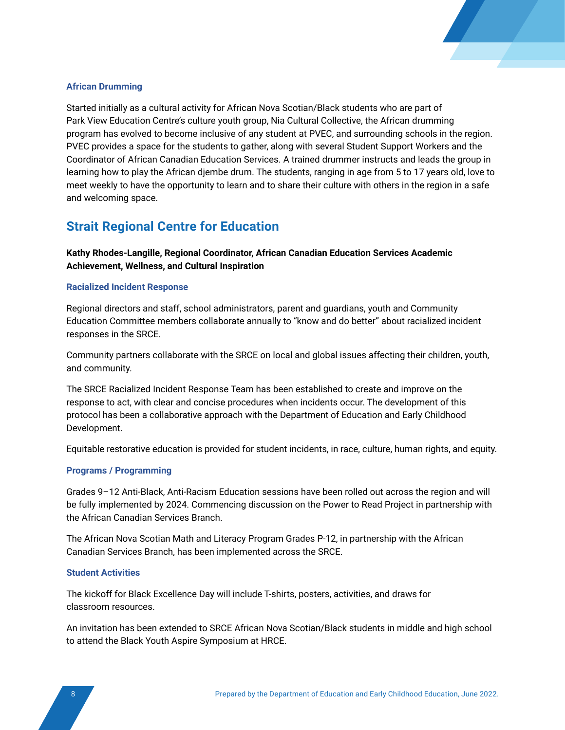

#### **African Drumming**

Started initially as a cultural activity for African Nova Scotian/Black students who are part of Park View Education Centre's culture youth group, Nia Cultural Collective, the African drumming program has evolved to become inclusive of any student at PVEC, and surrounding schools in the region. PVEC provides a space for the students to gather, along with several Student Support Workers and the Coordinator of African Canadian Education Services. A trained drummer instructs and leads the group in learning how to play the African djembe drum. The students, ranging in age from 5 to 17 years old, love to meet weekly to have the opportunity to learn and to share their culture with others in the region in a safe and welcoming space.

### **Strait Regional Centre for Education**

**Kathy Rhodes-Langille, Regional Coordinator, African Canadian Education Services Academic Achievement, Wellness, and Cultural Inspiration**

#### **Racialized Incident Response**

Regional directors and staff, school administrators, parent and guardians, youth and Community Education Committee members collaborate annually to "know and do better" about racialized incident responses in the SRCE.

Community partners collaborate with the SRCE on local and global issues affecting their children, youth, and community.

The SRCE Racialized Incident Response Team has been established to create and improve on the response to act, with clear and concise procedures when incidents occur. The development of this protocol has been a collaborative approach with the Department of Education and Early Childhood Development.

Equitable restorative education is provided for student incidents, in race, culture, human rights, and equity.

#### **Programs / Programming**

Grades 9–12 Anti-Black, Anti-Racism Education sessions have been rolled out across the region and will be fully implemented by 2024. Commencing discussion on the Power to Read Project in partnership with the African Canadian Services Branch.

The African Nova Scotian Math and Literacy Program Grades P-12, in partnership with the African Canadian Services Branch, has been implemented across the SRCE.

#### **Student Activities**

The kickoff for Black Excellence Day will include T-shirts, posters, activities, and draws for classroom resources.

An invitation has been extended to SRCE African Nova Scotian/Black students in middle and high school to attend the Black Youth Aspire Symposium at HRCE.